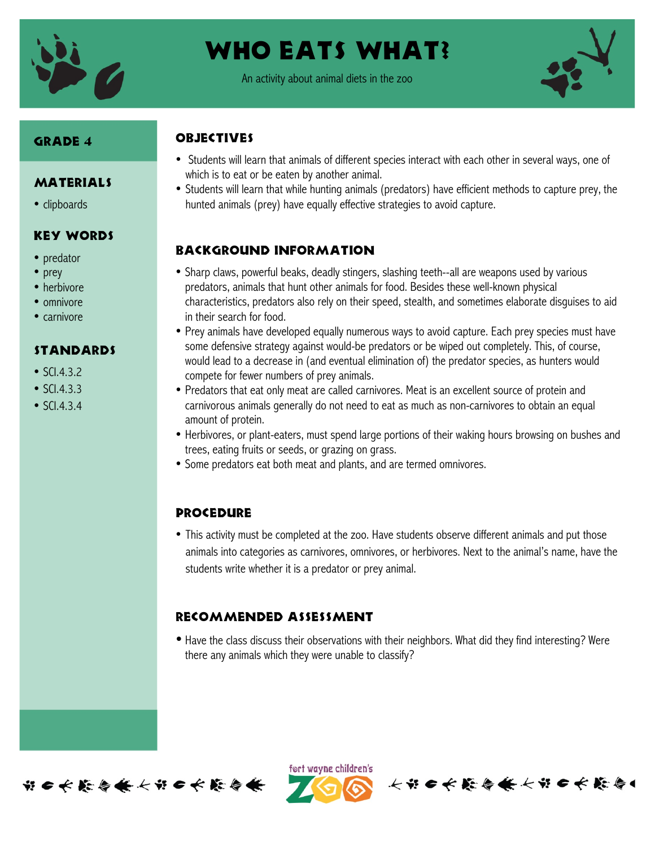

# WHO EATS WHAT?

An activity about animal diets in the zoo



### Grade 4

### MATERIALS

• clipboards

### Key Words

- predator
- prey
- herbivore
- omnivore
- carnivore

#### Standards

- SCI.4.3.2
- SCI.4.3.3
- SCI.4.3.4

## **OBJECTIVES**

- Students will learn that animals of different species interact with each other in several ways, one of which is to eat or be eaten by another animal.
- Students will learn that while hunting animals (predators) have efficient methods to capture prey, the hunted animals (prey) have equally effective strategies to avoid capture.

### Background information

- Sharp claws, powerful beaks, deadly stingers, slashing teeth--all are weapons used by various predators, animals that hunt other animals for food. Besides these well-known physical characteristics, predators also rely on their speed, stealth, and sometimes elaborate disguises to aid in their search for food.
- Prey animals have developed equally numerous ways to avoid capture. Each prey species must have some defensive strategy against would-be predators or be wiped out completely. This, of course, would lead to a decrease in (and eventual elimination of) the predator species, as hunters would compete for fewer numbers of prey animals.
- Predators that eat only meat are called carnivores. Meat is an excellent source of protein and carnivorous animals generally do not need to eat as much as non-carnivores to obtain an equal amount of protein.
- Herbivores, or plant-eaters, must spend large portions of their waking hours browsing on bushes and trees, eating fruits or seeds, or grazing on grass.
- Some predators eat both meat and plants, and are termed omnivores.

### **PROCEDURE**

• This activity must be completed at the zoo. Have students observe different animals and put those animals into categories as carnivores, omnivores, or herbivores. Next to the animal's name, have the students write whether it is a predator or prey animal.

### Recommended assessment

• Have the class discuss their observations with their neighbors. What did they find interesting? Were there any animals which they were unable to classify?



ført wayne children's

长节6长能与条长节6长能与1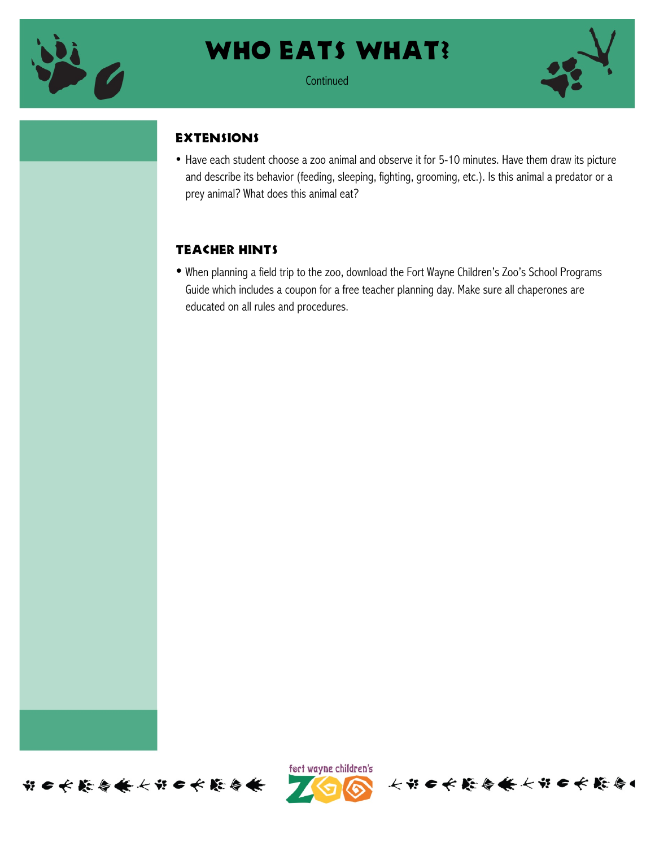

## WHO EATS WHAT?

**Continued** 



### **EXTENSIONS**

• Have each student choose a zoo animal and observe it for 5-10 minutes. Have them draw its picture and describe its behavior (feeding, sleeping, fighting, grooming, etc.). Is this animal a predator or a prey animal? What does this animal eat?

## Teacher hints

• When planning a field trip to the zoo, download the Fort Wayne Children's Zoo's School Programs Guide which includes a coupon for a free teacher planning day. Make sure all chaperones are educated on all rules and procedures.





长节日长藤春条长节日长藤春1